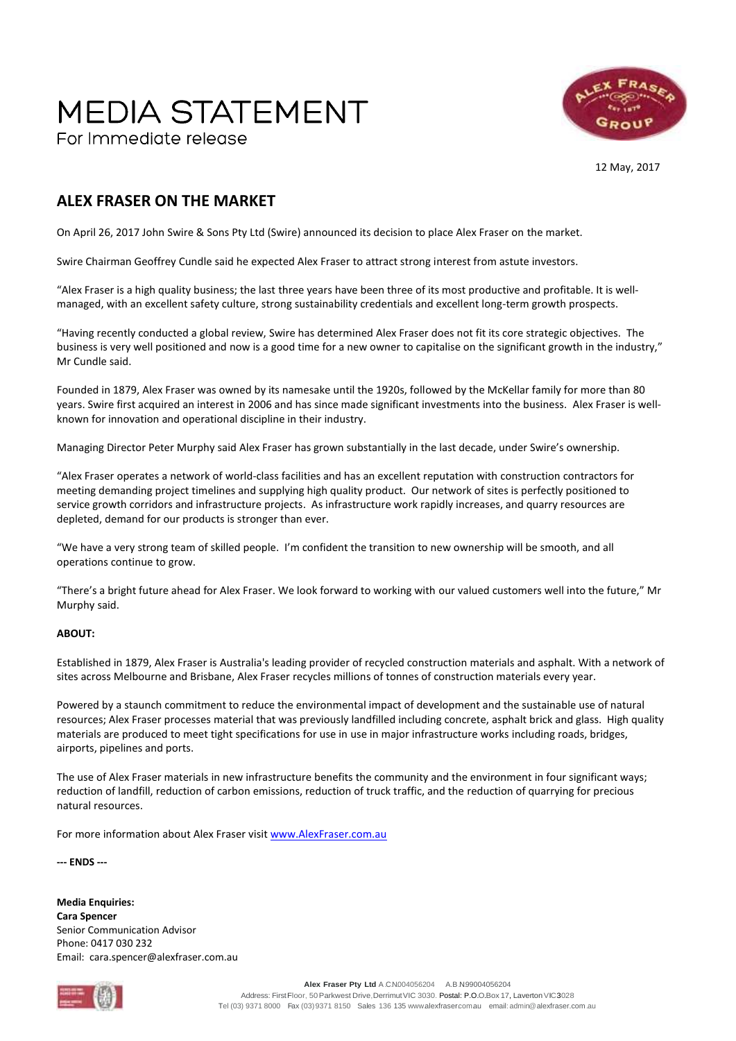## **MEDIA STATEMENT** For Immediate release



12 May, 2017

## **ALEX FRASER ON THE MARKET**

On April 26, 2017 John Swire & Sons Pty Ltd (Swire) announced its decision to place Alex Fraser on the market.

Swire Chairman Geoffrey Cundle said he expected Alex Fraser to attract strong interest from astute investors.

"Alex Fraser is a high quality business; the last three years have been three of its most productive and profitable. It is wellmanaged, with an excellent safety culture, strong sustainability credentials and excellent long-term growth prospects.

"Having recently conducted a global review, Swire has determined Alex Fraser does not fit its core strategic objectives. The business is very well positioned and now is a good time for a new owner to capitalise on the significant growth in the industry," Mr Cundle said.

Founded in 1879, Alex Fraser was owned by its namesake until the 1920s, followed by the McKellar family for more than 80 years. Swire first acquired an interest in 2006 and has since made significant investments into the business. Alex Fraser is wellknown for innovation and operational discipline in their industry.

Managing Director Peter Murphy said Alex Fraser has grown substantially in the last decade, under Swire's ownership.

"Alex Fraser operates a network of world-class facilities and has an excellent reputation with construction contractors for meeting demanding project timelines and supplying high quality product. Our network of sites is perfectly positioned to service growth corridors and infrastructure projects. As infrastructure work rapidly increases, and quarry resources are depleted, demand for our products is stronger than ever.

"We have a very strong team of skilled people. I'm confident the transition to new ownership will be smooth, and all operations continue to grow.

"There's a bright future ahead for Alex Fraser. We look forward to working with our valued customers well into the future," Mr Murphy said.

## **ABOUT:**

Established in 1879, Alex Fraser is Australia's leading provider of recycled construction materials and asphalt. With a network of sites across Melbourne and Brisbane, Alex Fraser recycles millions of tonnes of construction materials every year.

Powered by a staunch commitment to reduce the environmental impact of development and the sustainable use of natural resources; Alex Fraser processes material that was previously landfilled including concrete, asphalt brick and glass. High quality materials are produced to meet tight specifications for use in use in major infrastructure works including roads, bridges, airports, pipelines and ports.

The use of Alex Fraser materials in new infrastructure benefits the community and the environment in four significant ways; reduction of landfill, reduction of carbon emissions, reduction of truck traffic, and the reduction of quarrying for precious natural resources.

For more information about Alex Fraser visit [www.AlexFraser.com.au](http://www.alexfraser.com.au/)

**--- ENDS ---**

**Media Enquiries: Cara Spencer** Senior Communication Advisor Phone: 0417 030 232 Email: cara.spencer@alexfraser.com.au